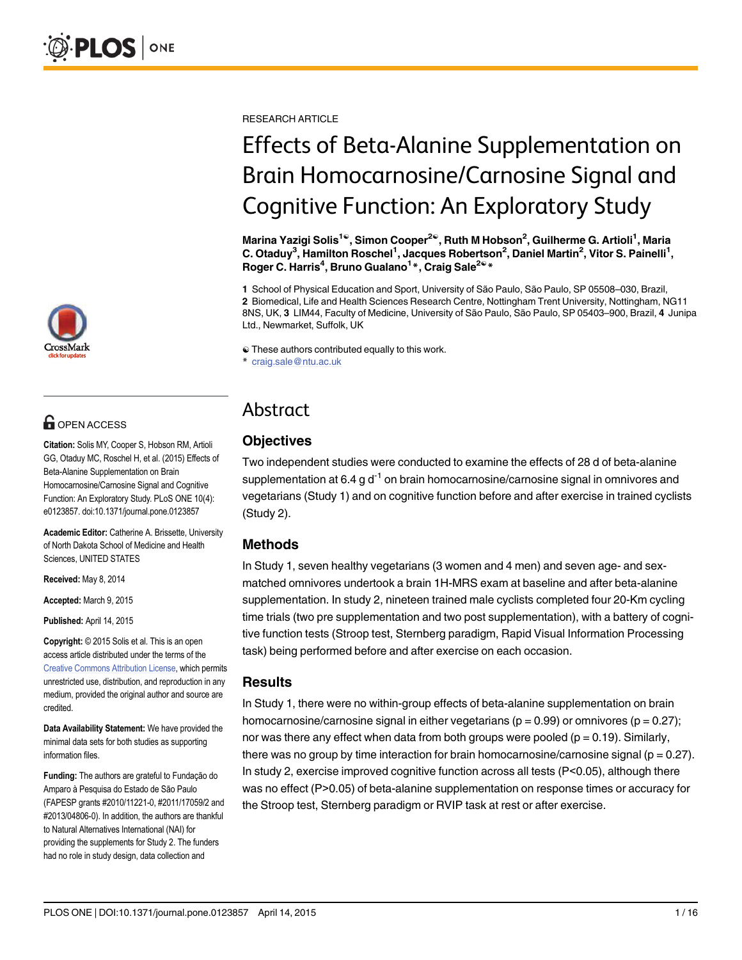

## **OPEN ACCESS**

Citation: Solis MY, Cooper S, Hobson RM, Artioli GG, Otaduy MC, Roschel H, et al. (2015) Effects of Beta-Alanine Supplementation on Brain Homocarnosine/Carnosine Signal and Cognitive Function: An Exploratory Study. PLoS ONE 10(4): e0123857. doi:10.1371/journal.pone.0123857

Academic Editor: Catherine A. Brissette, University of North Dakota School of Medicine and Health Sciences, UNITED STATES

Received: May 8, 2014

Accepted: March 9, 2015

Published: April 14, 2015

Copyright: © 2015 Solis et al. This is an open access article distributed under the terms of the [Creative Commons Attribution License,](http://creativecommons.org/licenses/by/4.0/) which permits unrestricted use, distribution, and reproduction in any medium, provided the original author and source are credited.

Data Availability Statement: We have provided the minimal data sets for both studies as supporting information files.

Funding: The authors are grateful to Fundação do Amparo à Pesquisa do Estado de São Paulo (FAPESP grants #2010/11221-0, #2011/17059/2 and #2013/04806-0). In addition, the authors are thankful to Natural Alternatives International (NAI) for providing the supplements for Study 2. The funders had no role in study design, data collection and

RESEARCH ARTICLE

# Effects of Beta-Alanine Supplementation on Brain Homocarnosine/Carnosine Signal and Cognitive Function: An Exploratory Study

Marina Yazigi Solis<sup>1©</sup>, Simon Cooper<sup>2©</sup>, Ruth M Hobson<sup>2</sup>, Guilherme G. Artioli<sup>1</sup>, Maria C. Otaduy<sup>3</sup>, Hamilton Roschel<sup>1</sup>, Jacques Robertson<sup>2</sup>, Daniel Martin<sup>2</sup>, Vitor S. Painelli<sup>1</sup>, Roger C. Harris<sup>4</sup>, Bruno Gualano<sup>1</sup>\*, Craig Sale<sup>2©</sup>\*

1 School of Physical Education and Sport, University of São Paulo, São Paulo, SP 05508–030, Brazil, 2 Biomedical, Life and Health Sciences Research Centre, Nottingham Trent University, Nottingham, NG11 8NS, UK, 3 LIM44, Faculty of Medicine, University of São Paulo, São Paulo, SP 05403–900, Brazil, 4 Junipa Ltd., Newmarket, Suffolk, UK

☯ These authors contributed equally to this work.

\* craig.sale@ntu.ac.uk

## Abstract

### **Objectives**

Two independent studies were conducted to examine the effects of 28 d of beta-alanine supplementation at 6.4 g  $d^{-1}$  on brain homocarnosine/carnosine signal in omnivores and vegetarians (Study 1) and on cognitive function before and after exercise in trained cyclists (Study 2).

### Methods

In Study 1, seven healthy vegetarians (3 women and 4 men) and seven age- and sexmatched omnivores undertook a brain 1H-MRS exam at baseline and after beta-alanine supplementation. In study 2, nineteen trained male cyclists completed four 20-Km cycling time trials (two pre supplementation and two post supplementation), with a battery of cognitive function tests (Stroop test, Sternberg paradigm, Rapid Visual Information Processing task) being performed before and after exercise on each occasion.

#### **Results**

In Study 1, there were no within-group effects of beta-alanine supplementation on brain homocarnosine/carnosine signal in either vegetarians ( $p = 0.99$ ) or omnivores ( $p = 0.27$ ); nor was there any effect when data from both groups were pooled ( $p = 0.19$ ). Similarly, there was no group by time interaction for brain homocarnosine/carnosine signal ( $p = 0.27$ ). In study 2, exercise improved cognitive function across all tests (P<0.05), although there was no effect (P>0.05) of beta-alanine supplementation on response times or accuracy for the Stroop test, Sternberg paradigm or RVIP task at rest or after exercise.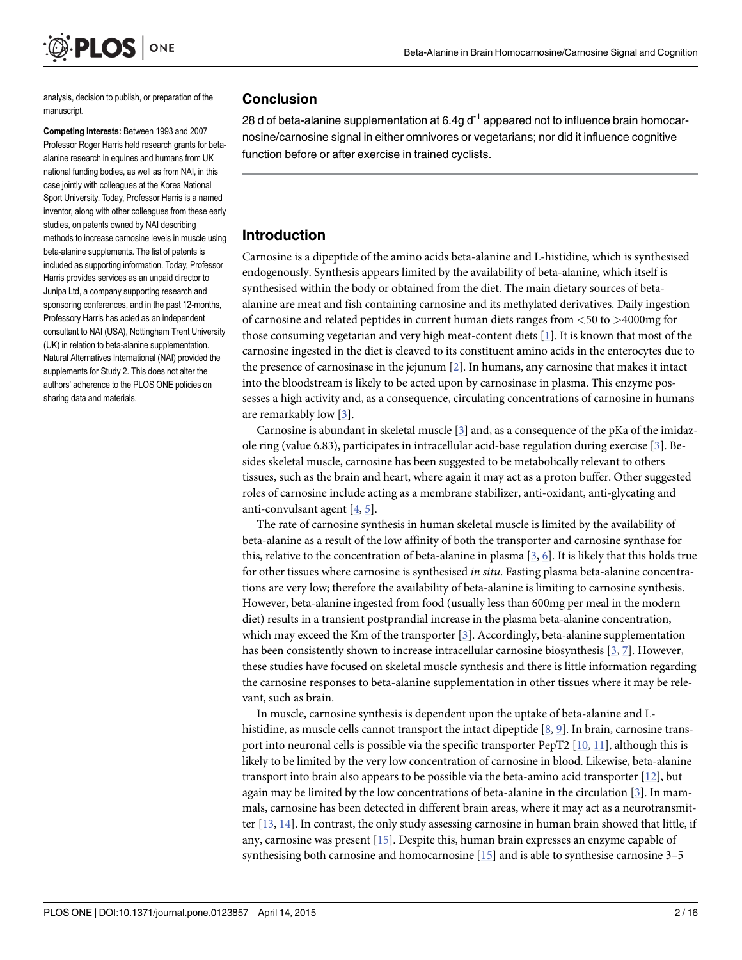analysis, decision to publish, or preparation of the manuscript.

<span id="page-1-0"></span>**PLOS** ONE

Competing Interests: Between 1993 and 2007 Professor Roger Harris held research grants for betaalanine research in equines and humans from UK national funding bodies, as well as from NAI, in this case jointly with colleagues at the Korea National Sport University. Today, Professor Harris is a named inventor, along with other colleagues from these early studies, on patents owned by NAI describing methods to increase carnosine levels in muscle using beta-alanine supplements. The list of patents is included as supporting information. Today, Professor Harris provides services as an unpaid director to Junipa Ltd, a company supporting research and sponsoring conferences, and in the past 12-months, Professory Harris has acted as an independent consultant to NAI (USA), Nottingham Trent University (UK) in relation to beta-alanine supplementation. Natural Alternatives International (NAI) provided the supplements for Study 2. This does not alter the authors' adherence to the PLOS ONE policies on sharing data and materials.

#### Conclusion

28 d of beta-alanine supplementation at 6.4g  $d^{-1}$  appeared not to influence brain homocarnosine/carnosine signal in either omnivores or vegetarians; nor did it influence cognitive function before or after exercise in trained cyclists.

#### Introduction

Carnosine is a dipeptide of the amino acids beta-alanine and L-histidine, which is synthesised endogenously. Synthesis appears limited by the availability of beta-alanine, which itself is synthesised within the body or obtained from the diet. The main dietary sources of betaalanine are meat and fish containing carnosine and its methylated derivatives. Daily ingestion of carnosine and related peptides in current human diets ranges from <50 to >4000mg for those consuming vegetarian and very high meat-content diets [\[1](#page-13-0)]. It is known that most of the carnosine ingested in the diet is cleaved to its constituent amino acids in the enterocytes due to the presence of carnosinase in the jejunum [\[2\]](#page-13-0). In humans, any carnosine that makes it intact into the bloodstream is likely to be acted upon by carnosinase in plasma. This enzyme possesses a high activity and, as a consequence, circulating concentrations of carnosine in humans are remarkably low [[3\]](#page-13-0).

Carnosine is abundant in skeletal muscle  $[3]$  $[3]$  and, as a consequence of the pKa of the imidazole ring (value 6.83), participates in intracellular acid-base regulation during exercise [\[3\]](#page-13-0). Besides skeletal muscle, carnosine has been suggested to be metabolically relevant to others tissues, such as the brain and heart, where again it may act as a proton buffer. Other suggested roles of carnosine include acting as a membrane stabilizer, anti-oxidant, anti-glycating and anti-convulsant agent [[4,](#page-13-0) [5\]](#page-13-0).

The rate of carnosine synthesis in human skeletal muscle is limited by the availability of beta-alanine as a result of the low affinity of both the transporter and carnosine synthase for this, relative to the concentration of beta-alanine in plasma [\[3](#page-13-0), [6](#page-13-0)]. It is likely that this holds true for other tissues where carnosine is synthesised in situ. Fasting plasma beta-alanine concentrations are very low; therefore the availability of beta-alanine is limiting to carnosine synthesis. However, beta-alanine ingested from food (usually less than 600mg per meal in the modern diet) results in a transient postprandial increase in the plasma beta-alanine concentration, which may exceed the Km of the transporter  $[3]$  $[3]$ . Accordingly, beta-alanine supplementation has been consistently shown to increase intracellular carnosine biosynthesis [\[3](#page-13-0), [7](#page-13-0)]. However, these studies have focused on skeletal muscle synthesis and there is little information regarding the carnosine responses to beta-alanine supplementation in other tissues where it may be relevant, such as brain.

In muscle, carnosine synthesis is dependent upon the uptake of beta-alanine and L-histidine, as muscle cells cannot transport the intact dipeptide [[8,](#page-13-0) [9\]](#page-13-0). In brain, carnosine transport into neuronal cells is possible via the specific transporter PepT2  $[10, 11]$  $[10, 11]$  $[10, 11]$  $[10, 11]$  $[10, 11]$ , although this is likely to be limited by the very low concentration of carnosine in blood. Likewise, beta-alanine transport into brain also appears to be possible via the beta-amino acid transporter  $[12]$ , but again may be limited by the low concentrations of beta-alanine in the circulation  $[3]$  $[3]$  $[3]$ . In mammals, carnosine has been detected in different brain areas, where it may act as a neurotransmitter  $[13, 14]$  $[13, 14]$  $[13, 14]$  $[13, 14]$  $[13, 14]$ . In contrast, the only study assessing carnosine in human brain showed that little, if any, carnosine was present [\[15\]](#page-13-0). Despite this, human brain expresses an enzyme capable of synthesising both carnosine and homocarnosine  $[15]$  $[15]$  $[15]$  and is able to synthesise carnosine 3–5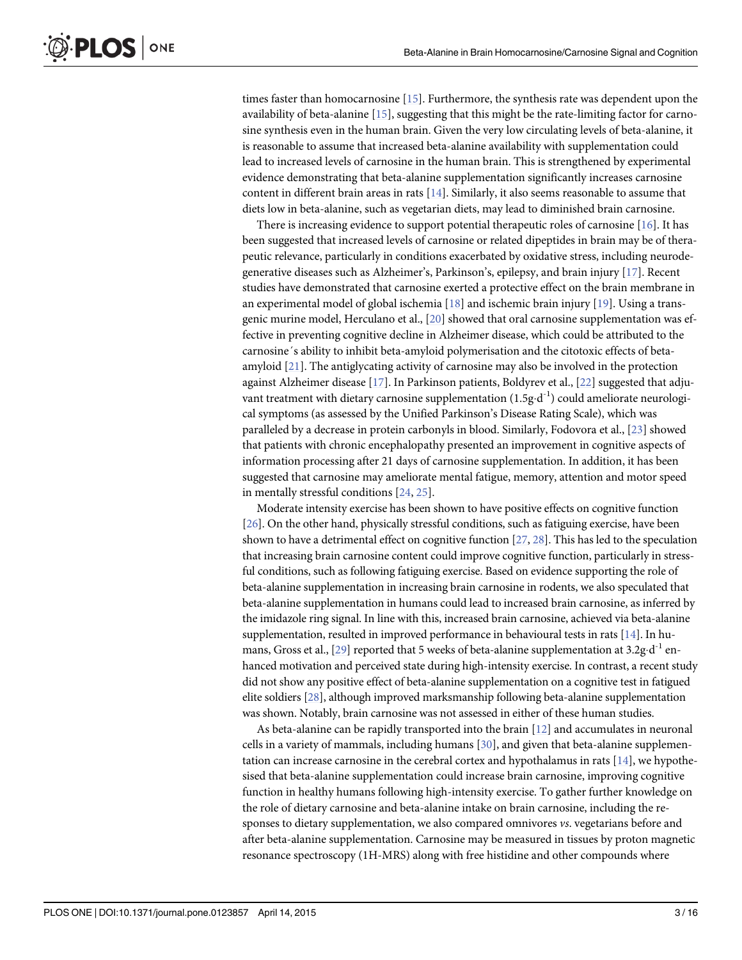<span id="page-2-0"></span>times faster than homocarnosine [[15](#page-13-0)]. Furthermore, the synthesis rate was dependent upon the availability of beta-alanine  $[15]$ , suggesting that this might be the rate-limiting factor for carnosine synthesis even in the human brain. Given the very low circulating levels of beta-alanine, it is reasonable to assume that increased beta-alanine availability with supplementation could lead to increased levels of carnosine in the human brain. This is strengthened by experimental evidence demonstrating that beta-alanine supplementation significantly increases carnosine content in different brain areas in rats [\[14\]](#page-13-0). Similarly, it also seems reasonable to assume that diets low in beta-alanine, such as vegetarian diets, may lead to diminished brain carnosine.

There is increasing evidence to support potential therapeutic roles of carnosine [\[16\]](#page-13-0). It has been suggested that increased levels of carnosine or related dipeptides in brain may be of therapeutic relevance, particularly in conditions exacerbated by oxidative stress, including neurodegenerative diseases such as Alzheimer's, Parkinson's, epilepsy, and brain injury [[17](#page-13-0)]. Recent studies have demonstrated that carnosine exerted a protective effect on the brain membrane in an experimental model of global ischemia [[18](#page-13-0)] and ischemic brain injury [[19](#page-13-0)]. Using a transgenic murine model, Herculano et al., [[20](#page-14-0)] showed that oral carnosine supplementation was effective in preventing cognitive decline in Alzheimer disease, which could be attributed to the carnosine´s ability to inhibit beta-amyloid polymerisation and the citotoxic effects of betaamyloid [\[21\]](#page-14-0). The antiglycating activity of carnosine may also be involved in the protection against Alzheimer disease [[17](#page-13-0)]. In Parkinson patients, Boldyrev et al., [[22](#page-14-0)] suggested that adjuvant treatment with dietary carnosine supplementation  $(1.5g \cdot d^{-1})$  could ameliorate neurological symptoms (as assessed by the Unified Parkinson's Disease Rating Scale), which was paralleled by a decrease in protein carbonyls in blood. Similarly, Fodovora et al., [\[23\]](#page-14-0) showed that patients with chronic encephalopathy presented an improvement in cognitive aspects of information processing after 21 days of carnosine supplementation. In addition, it has been suggested that carnosine may ameliorate mental fatigue, memory, attention and motor speed in mentally stressful conditions [[24](#page-14-0), [25](#page-14-0)].

Moderate intensity exercise has been shown to have positive effects on cognitive function [\[26\]](#page-14-0). On the other hand, physically stressful conditions, such as fatiguing exercise, have been shown to have a detrimental effect on cognitive function  $[27, 28]$  $[27, 28]$  $[27, 28]$  $[27, 28]$  $[27, 28]$ . This has led to the speculation that increasing brain carnosine content could improve cognitive function, particularly in stressful conditions, such as following fatiguing exercise. Based on evidence supporting the role of beta-alanine supplementation in increasing brain carnosine in rodents, we also speculated that beta-alanine supplementation in humans could lead to increased brain carnosine, as inferred by the imidazole ring signal. In line with this, increased brain carnosine, achieved via beta-alanine supplementation, resulted in improved performance in behavioural tests in rats [\[14\]](#page-13-0). In hu-mans, Gross et al., [[29](#page-14-0)] reported that 5 weeks of beta-alanine supplementation at  $3.2g \cdot d^{-1}$  enhanced motivation and perceived state during high-intensity exercise. In contrast, a recent study did not show any positive effect of beta-alanine supplementation on a cognitive test in fatigued elite soldiers [\[28\]](#page-14-0), although improved marksmanship following beta-alanine supplementation was shown. Notably, brain carnosine was not assessed in either of these human studies.

As beta-alanine can be rapidly transported into the brain [\[12\]](#page-13-0) and accumulates in neuronal cells in a variety of mammals, including humans  $[30]$  $[30]$  $[30]$ , and given that beta-alanine supplementation can increase carnosine in the cerebral cortex and hypothalamus in rats  $[14]$ , we hypothesised that beta-alanine supplementation could increase brain carnosine, improving cognitive function in healthy humans following high-intensity exercise. To gather further knowledge on the role of dietary carnosine and beta-alanine intake on brain carnosine, including the responses to dietary supplementation, we also compared omnivores *vs*. vegetarians before and after beta-alanine supplementation. Carnosine may be measured in tissues by proton magnetic resonance spectroscopy (1H-MRS) along with free histidine and other compounds where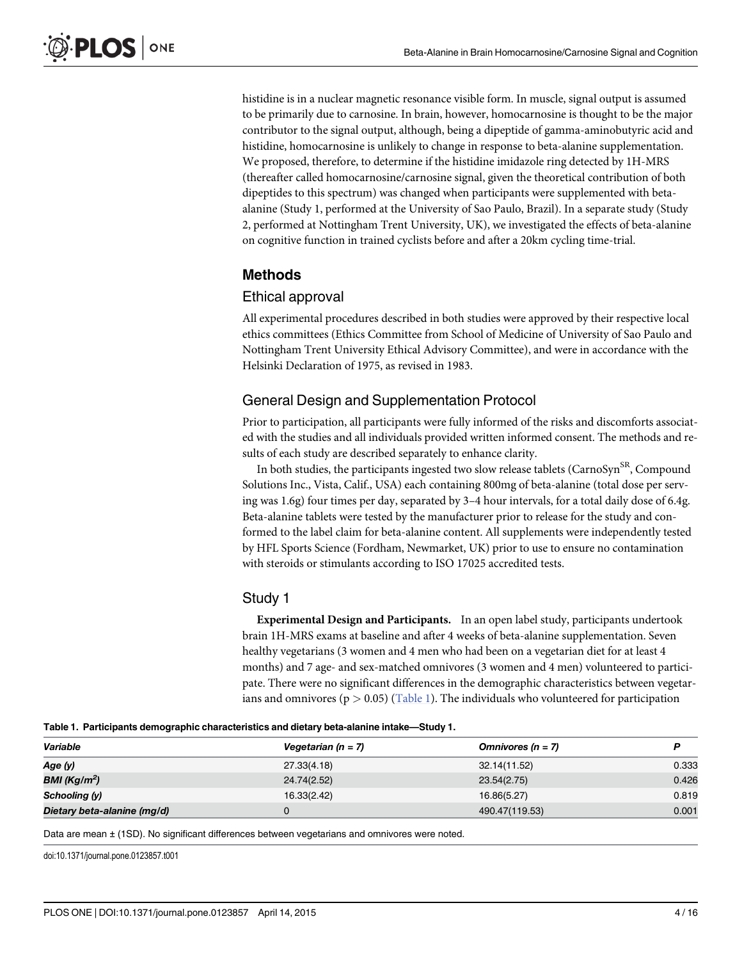histidine is in a nuclear magnetic resonance visible form. In muscle, signal output is assumed to be primarily due to carnosine. In brain, however, homocarnosine is thought to be the major contributor to the signal output, although, being a dipeptide of gamma-aminobutyric acid and histidine, homocarnosine is unlikely to change in response to beta-alanine supplementation. We proposed, therefore, to determine if the histidine imidazole ring detected by 1H-MRS (thereafter called homocarnosine/carnosine signal, given the theoretical contribution of both dipeptides to this spectrum) was changed when participants were supplemented with betaalanine (Study 1, performed at the University of Sao Paulo, Brazil). In a separate study (Study 2, performed at Nottingham Trent University, UK), we investigated the effects of beta-alanine on cognitive function in trained cyclists before and after a 20km cycling time-trial.

#### Methods

#### Ethical approval

All experimental procedures described in both studies were approved by their respective local ethics committees (Ethics Committee from School of Medicine of University of Sao Paulo and Nottingham Trent University Ethical Advisory Committee), and were in accordance with the Helsinki Declaration of 1975, as revised in 1983.

#### General Design and Supplementation Protocol

Prior to participation, all participants were fully informed of the risks and discomforts associated with the studies and all individuals provided written informed consent. The methods and results of each study are described separately to enhance clarity.

In both studies, the participants ingested two slow release tablets (CarnoSyn<sup>SR</sup>, Compound Solutions Inc., Vista, Calif., USA) each containing 800mg of beta-alanine (total dose per serving was 1.6g) four times per day, separated by 3–4 hour intervals, for a total daily dose of 6.4g. Beta-alanine tablets were tested by the manufacturer prior to release for the study and conformed to the label claim for beta-alanine content. All supplements were independently tested by HFL Sports Science (Fordham, Newmarket, UK) prior to use to ensure no contamination with steroids or stimulants according to ISO 17025 accredited tests.

#### Study 1

Experimental Design and Participants. In an open label study, participants undertook brain 1H-MRS exams at baseline and after 4 weeks of beta-alanine supplementation. Seven healthy vegetarians (3 women and 4 men who had been on a vegetarian diet for at least 4 months) and 7 age- and sex-matched omnivores (3 women and 4 men) volunteered to participate. There were no significant differences in the demographic characteristics between vegetarians and omnivores ( $p > 0.05$ ) (Table 1). The individuals who volunteered for participation

| Table 1. Participants demographic characteristics and dietary beta-alanine intake-Study 1. |  |
|--------------------------------------------------------------------------------------------|--|
|--------------------------------------------------------------------------------------------|--|

| Variable                    | Vegetarian ( $n = 7$ ) | Omnivores $(n = 7)$ |       |
|-----------------------------|------------------------|---------------------|-------|
| Age (y)                     | 27.33(4.18)            | 32.14(11.52)        | 0.333 |
| BMI (Kg/m <sup>2</sup> )    | 24.74(2.52)            | 23.54(2.75)         | 0.426 |
| Schooling (y)               | 16.33(2.42)            | 16.86(5.27)         | 0.819 |
| Dietary beta-alanine (mg/d) |                        | 490.47(119.53)      | 0.001 |

Data are mean  $\pm$  (1SD). No significant differences between vegetarians and omnivores were noted.

doi:10.1371/journal.pone.0123857.t001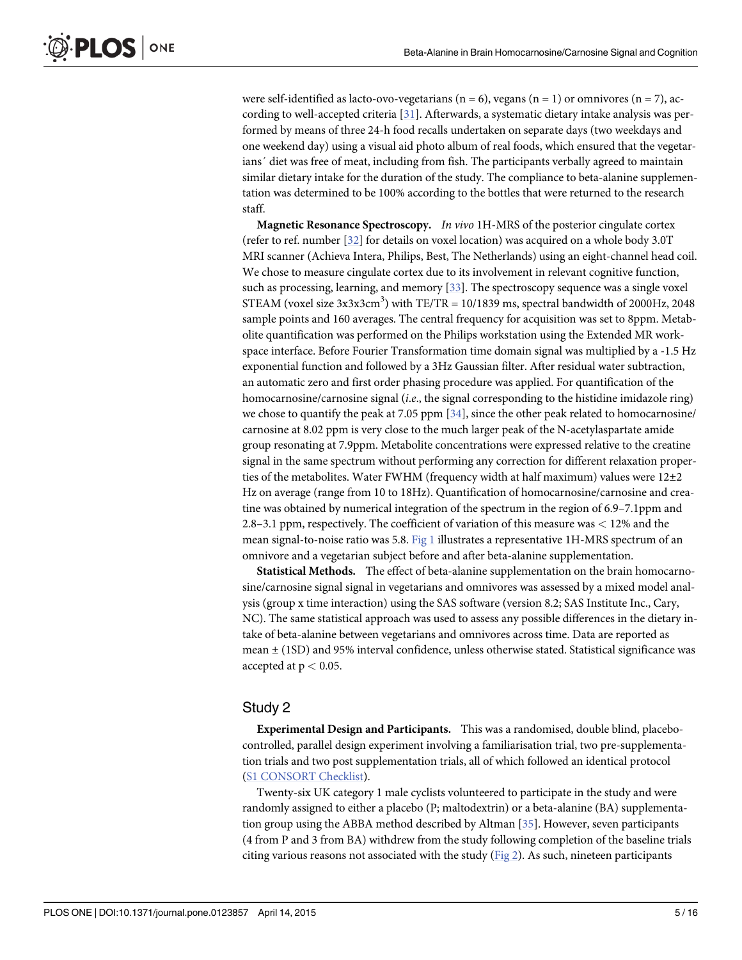were self-identified as lacto-ovo-vegetarians ( $n = 6$ ), vegans ( $n = 1$ ) or omnivores ( $n = 7$ ), according to well-accepted criteria [\[31\]](#page-14-0). Afterwards, a systematic dietary intake analysis was performed by means of three 24-h food recalls undertaken on separate days (two weekdays and one weekend day) using a visual aid photo album of real foods, which ensured that the vegetarians<sup> $\prime$ </sup> diet was free of meat, including from fish. The participants verbally agreed to maintain similar dietary intake for the duration of the study. The compliance to beta-alanine supplementation was determined to be 100% according to the bottles that were returned to the research staff.

Magnetic Resonance Spectroscopy. In vivo 1H-MRS of the posterior cingulate cortex (refer to ref. number [[32](#page-14-0)] for details on voxel location) was acquired on a whole body 3.0T MRI scanner (Achieva Intera, Philips, Best, The Netherlands) using an eight-channel head coil. We chose to measure cingulate cortex due to its involvement in relevant cognitive function, such as processing, learning, and memory [[33\]](#page-14-0). The spectroscopy sequence was a single voxel STEAM (voxel size  $3x3x3cm^3$ ) with TE/TR = 10/1839 ms, spectral bandwidth of 2000Hz, 2048 sample points and 160 averages. The central frequency for acquisition was set to 8ppm. Metabolite quantification was performed on the Philips workstation using the Extended MR workspace interface. Before Fourier Transformation time domain signal was multiplied by a -1.5 Hz exponential function and followed by a 3Hz Gaussian filter. After residual water subtraction, an automatic zero and first order phasing procedure was applied. For quantification of the homocarnosine/carnosine signal (i.e., the signal corresponding to the histidine imidazole ring) we chose to quantify the peak at 7.05 ppm [[34](#page-14-0)], since the other peak related to homocarnosine/ carnosine at 8.02 ppm is very close to the much larger peak of the N-acetylaspartate amide group resonating at 7.9ppm. Metabolite concentrations were expressed relative to the creatine signal in the same spectrum without performing any correction for different relaxation properties of the metabolites. Water FWHM (frequency width at half maximum) values were  $12\pm2$ Hz on average (range from 10 to 18Hz). Quantification of homocarnosine/carnosine and creatine was obtained by numerical integration of the spectrum in the region of 6.9–7.1ppm and 2.8–3.1 ppm, respectively. The coefficient of variation of this measure was < 12% and the mean signal-to-noise ratio was 5.8. [Fig 1](#page-5-0) illustrates a representative 1H-MRS spectrum of an omnivore and a vegetarian subject before and after beta-alanine supplementation.

Statistical Methods. The effect of beta-alanine supplementation on the brain homocarnosine/carnosine signal signal in vegetarians and omnivores was assessed by a mixed model analysis (group x time interaction) using the SAS software (version 8.2; SAS Institute Inc., Cary, NC). The same statistical approach was used to assess any possible differences in the dietary intake of beta-alanine between vegetarians and omnivores across time. Data are reported as mean ± (1SD) and 95% interval confidence, unless otherwise stated. Statistical significance was accepted at  $p < 0.05$ .

#### Study 2

Experimental Design and Participants. This was a randomised, double blind, placebocontrolled, parallel design experiment involving a familiarisation trial, two pre-supplementation trials and two post supplementation trials, all of which followed an identical protocol [\(S1 CONSORT Checklist](#page-12-0)).

Twenty-six UK category 1 male cyclists volunteered to participate in the study and were randomly assigned to either a placebo (P; maltodextrin) or a beta-alanine (BA) supplementation group using the ABBA method described by Altman [\[35\]](#page-14-0). However, seven participants (4 from P and 3 from BA) withdrew from the study following completion of the baseline trials citing various reasons not associated with the study ( $Fig 2$ ). As such, nineteen participants

<span id="page-4-0"></span>PLOS I

ONE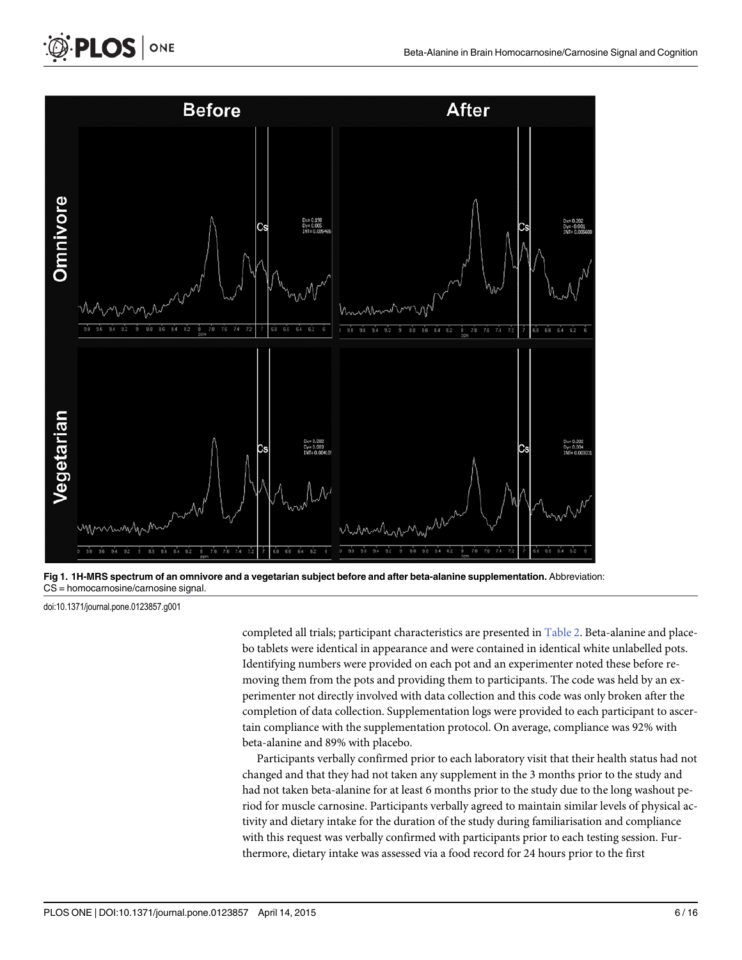

[Fig 1. 1](#page-4-0)H-MRS spectrum of an omnivore and a vegetarian subject before and after beta-alanine supplementation. Abbreviation: CS = homocarnosine/carnosine signal.

doi:10.1371/journal.pone.0123857.g001

<span id="page-5-0"></span>**PLOS** ONE

completed all trials; participant characteristics are presented in [Table 2.](#page-6-0) Beta-alanine and placebo tablets were identical in appearance and were contained in identical white unlabelled pots. Identifying numbers were provided on each pot and an experimenter noted these before removing them from the pots and providing them to participants. The code was held by an experimenter not directly involved with data collection and this code was only broken after the completion of data collection. Supplementation logs were provided to each participant to ascertain compliance with the supplementation protocol. On average, compliance was 92% with beta-alanine and 89% with placebo.

Participants verbally confirmed prior to each laboratory visit that their health status had not changed and that they had not taken any supplement in the 3 months prior to the study and had not taken beta-alanine for at least 6 months prior to the study due to the long washout period for muscle carnosine. Participants verbally agreed to maintain similar levels of physical activity and dietary intake for the duration of the study during familiarisation and compliance with this request was verbally confirmed with participants prior to each testing session. Furthermore, dietary intake was assessed via a food record for 24 hours prior to the first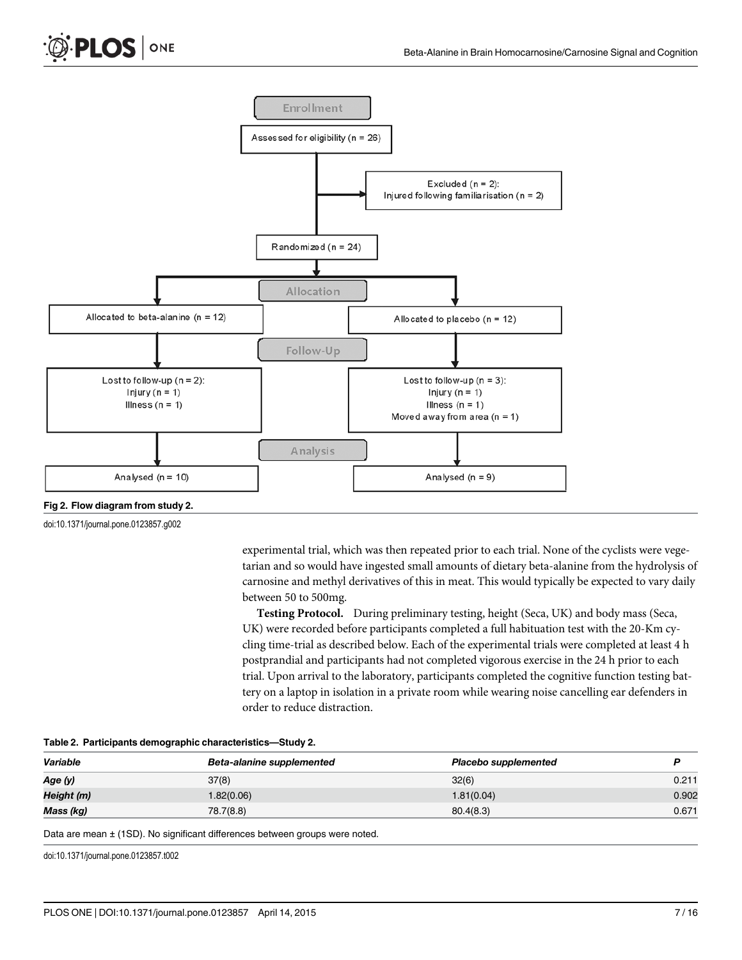<span id="page-6-0"></span>

[Fig 2. F](#page-4-0)low diagram from study 2.

doi:10.1371/journal.pone.0123857.g002

experimental trial, which was then repeated prior to each trial. None of the cyclists were vegetarian and so would have ingested small amounts of dietary beta-alanine from the hydrolysis of carnosine and methyl derivatives of this in meat. This would typically be expected to vary daily between 50 to 500mg.

Testing Protocol. During preliminary testing, height (Seca, UK) and body mass (Seca, UK) were recorded before participants completed a full habituation test with the 20-Km cycling time-trial as described below. Each of the experimental trials were completed at least 4 h postprandial and participants had not completed vigorous exercise in the 24 h prior to each trial. Upon arrival to the laboratory, participants completed the cognitive function testing battery on a laptop in isolation in a private room while wearing noise cancelling ear defenders in order to reduce distraction.

|  |  |  | Table 2. Participants demographic characteristics-Study 2. |  |
|--|--|--|------------------------------------------------------------|--|
|--|--|--|------------------------------------------------------------|--|

| Variable   | Beta-alanine supplemented | Placebo supplemented |       |
|------------|---------------------------|----------------------|-------|
| Age (y)    | 37(8)                     | 32(6)                | 0.211 |
| Height (m) | 1.82(0.06)                | 1.81(0.04)           | 0.902 |
| Mass (kg)  | 78.7(8.8)                 | 80.4(8.3)            | 0.671 |

Data are mean ± (1SD). No significant differences between groups were noted.

doi:10.1371/journal.pone.0123857.t002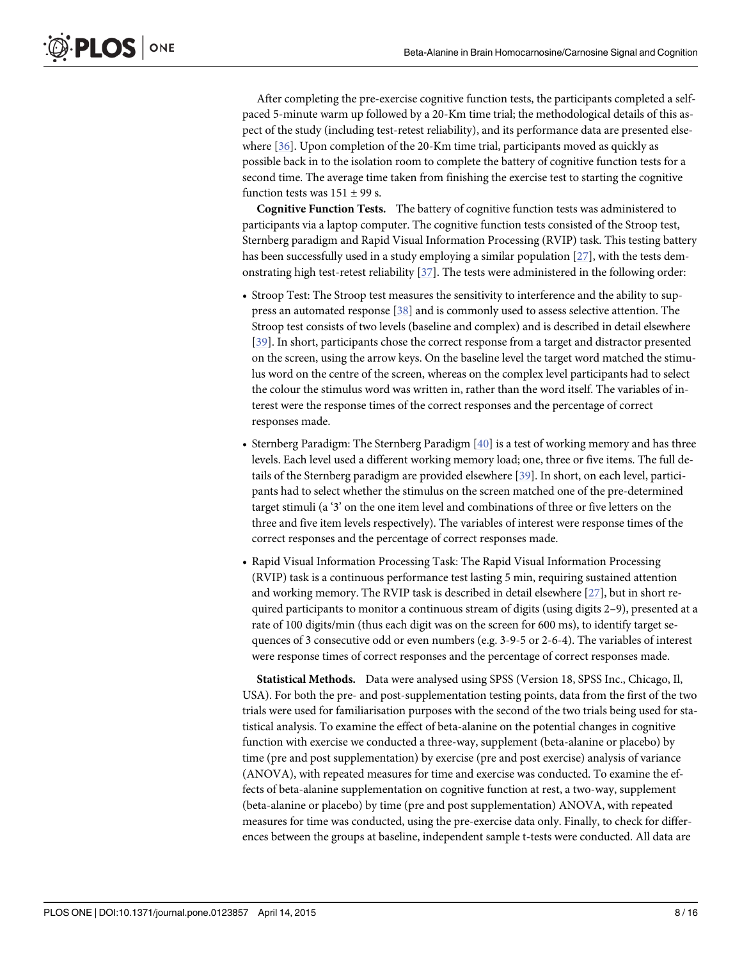<span id="page-7-0"></span>After completing the pre-exercise cognitive function tests, the participants completed a selfpaced 5-minute warm up followed by a 20-Km time trial; the methodological details of this aspect of the study (including test-retest reliability), and its performance data are presented elsewhere [[36](#page-14-0)]. Upon completion of the 20-Km time trial, participants moved as quickly as possible back in to the isolation room to complete the battery of cognitive function tests for a second time. The average time taken from finishing the exercise test to starting the cognitive function tests was  $151 \pm 99$  s.

Cognitive Function Tests. The battery of cognitive function tests was administered to participants via a laptop computer. The cognitive function tests consisted of the Stroop test, Sternberg paradigm and Rapid Visual Information Processing (RVIP) task. This testing battery has been successfully used in a study employing a similar population [\[27\]](#page-14-0), with the tests demonstrating high test-retest reliability [[37](#page-14-0)]. The tests were administered in the following order:

- Stroop Test: The Stroop test measures the sensitivity to interference and the ability to suppress an automated response [[38](#page-14-0)] and is commonly used to assess selective attention. The Stroop test consists of two levels (baseline and complex) and is described in detail elsewhere [\[39\]](#page-14-0). In short, participants chose the correct response from a target and distractor presented on the screen, using the arrow keys. On the baseline level the target word matched the stimulus word on the centre of the screen, whereas on the complex level participants had to select the colour the stimulus word was written in, rather than the word itself. The variables of interest were the response times of the correct responses and the percentage of correct responses made.
- Sternberg Paradigm: The Sternberg Paradigm [[40\]](#page-14-0) is a test of working memory and has three levels. Each level used a different working memory load; one, three or five items. The full details of the Sternberg paradigm are provided elsewhere [\[39](#page-14-0)]. In short, on each level, participants had to select whether the stimulus on the screen matched one of the pre-determined target stimuli (a '3' on the one item level and combinations of three or five letters on the three and five item levels respectively). The variables of interest were response times of the correct responses and the percentage of correct responses made.
- Rapid Visual Information Processing Task: The Rapid Visual Information Processing (RVIP) task is a continuous performance test lasting 5 min, requiring sustained attention and working memory. The RVIP task is described in detail elsewhere [[27](#page-14-0)], but in short required participants to monitor a continuous stream of digits (using digits 2–9), presented at a rate of 100 digits/min (thus each digit was on the screen for 600 ms), to identify target sequences of 3 consecutive odd or even numbers (e.g. 3-9-5 or 2-6-4). The variables of interest were response times of correct responses and the percentage of correct responses made.

Statistical Methods. Data were analysed using SPSS (Version 18, SPSS Inc., Chicago, Il, USA). For both the pre- and post-supplementation testing points, data from the first of the two trials were used for familiarisation purposes with the second of the two trials being used for statistical analysis. To examine the effect of beta-alanine on the potential changes in cognitive function with exercise we conducted a three-way, supplement (beta-alanine or placebo) by time (pre and post supplementation) by exercise (pre and post exercise) analysis of variance (ANOVA), with repeated measures for time and exercise was conducted. To examine the effects of beta-alanine supplementation on cognitive function at rest, a two-way, supplement (beta-alanine or placebo) by time (pre and post supplementation) ANOVA, with repeated measures for time was conducted, using the pre-exercise data only. Finally, to check for differences between the groups at baseline, independent sample t-tests were conducted. All data are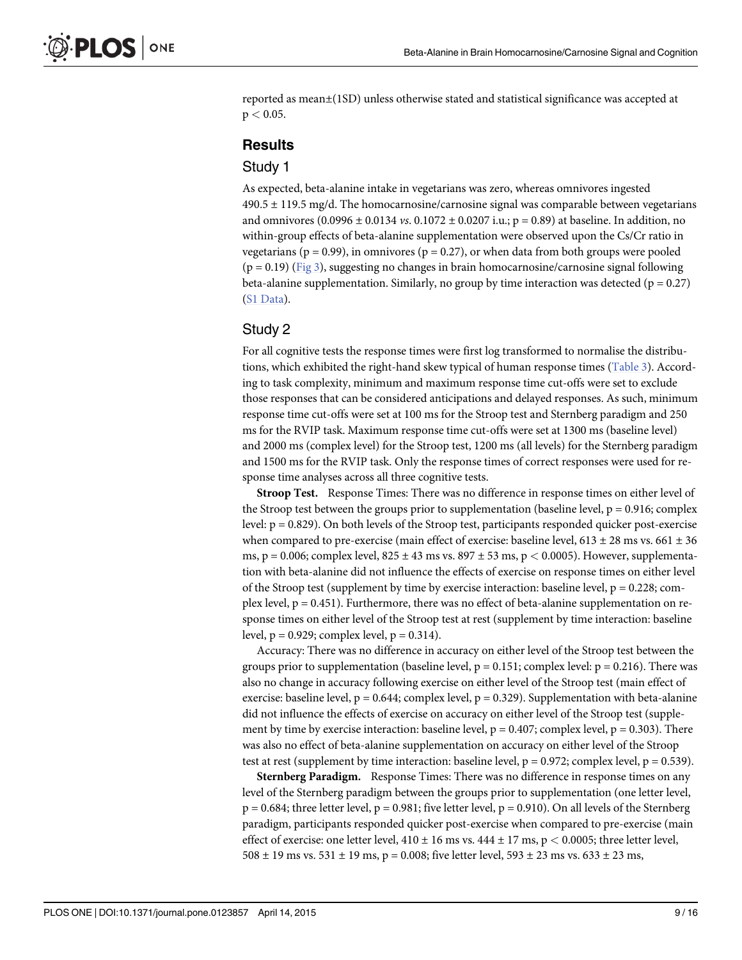<span id="page-8-0"></span>reported as mean±(1SD) unless otherwise stated and statistical significance was accepted at  $p < 0.05$ .

#### **Results**

#### Study 1

As expected, beta-alanine intake in vegetarians was zero, whereas omnivores ingested  $490.5 \pm 119.5$  mg/d. The homocarnosine/carnosine signal was comparable between vegetarians and omnivores  $(0.0996 \pm 0.0134 \text{ vs. } 0.1072 \pm 0.0207 \text{ i.u.}; p = 0.89)$  at baseline. In addition, no within-group effects of beta-alanine supplementation were observed upon the Cs/Cr ratio in vegetarians ( $p = 0.99$ ), in omnivores ( $p = 0.27$ ), or when data from both groups were pooled  $(p = 0.19)$  [\(Fig 3\)](#page-9-0), suggesting no changes in brain homocarnosine/carnosine signal following beta-alanine supplementation. Similarly, no group by time interaction was detected ( $p = 0.27$ ) [\(S1 Data](#page-12-0)).

#### Study 2

For all cognitive tests the response times were first log transformed to normalise the distributions, which exhibited the right-hand skew typical of human response times ([Table 3](#page-10-0)). According to task complexity, minimum and maximum response time cut-offs were set to exclude those responses that can be considered anticipations and delayed responses. As such, minimum response time cut-offs were set at 100 ms for the Stroop test and Sternberg paradigm and 250 ms for the RVIP task. Maximum response time cut-offs were set at 1300 ms (baseline level) and 2000 ms (complex level) for the Stroop test, 1200 ms (all levels) for the Sternberg paradigm and 1500 ms for the RVIP task. Only the response times of correct responses were used for response time analyses across all three cognitive tests.

Stroop Test. Response Times: There was no difference in response times on either level of the Stroop test between the groups prior to supplementation (baseline level,  $p = 0.916$ ; complex level: p = 0.829). On both levels of the Stroop test, participants responded quicker post-exercise when compared to pre-exercise (main effect of exercise: baseline level,  $613 \pm 28$  ms vs.  $661 \pm 36$ ms,  $p = 0.006$ ; complex level,  $825 \pm 43$  ms vs.  $897 \pm 53$  ms,  $p < 0.0005$ ). However, supplementation with beta-alanine did not influence the effects of exercise on response times on either level of the Stroop test (supplement by time by exercise interaction: baseline level,  $p = 0.228$ ; complex level,  $p = 0.451$ ). Furthermore, there was no effect of beta-alanine supplementation on response times on either level of the Stroop test at rest (supplement by time interaction: baseline level,  $p = 0.929$ ; complex level,  $p = 0.314$ ).

Accuracy: There was no difference in accuracy on either level of the Stroop test between the groups prior to supplementation (baseline level,  $p = 0.151$ ; complex level:  $p = 0.216$ ). There was also no change in accuracy following exercise on either level of the Stroop test (main effect of exercise: baseline level,  $p = 0.644$ ; complex level,  $p = 0.329$ ). Supplementation with beta-alanine did not influence the effects of exercise on accuracy on either level of the Stroop test (supplement by time by exercise interaction: baseline level,  $p = 0.407$ ; complex level,  $p = 0.303$ ). There was also no effect of beta-alanine supplementation on accuracy on either level of the Stroop test at rest (supplement by time interaction: baseline level,  $p = 0.972$ ; complex level,  $p = 0.539$ ).

Sternberg Paradigm. Response Times: There was no difference in response times on any level of the Sternberg paradigm between the groups prior to supplementation (one letter level,  $p = 0.684$ ; three letter level,  $p = 0.981$ ; five letter level,  $p = 0.910$ ). On all levels of the Sternberg paradigm, participants responded quicker post-exercise when compared to pre-exercise (main effect of exercise: one letter level,  $410 \pm 16$  ms vs.  $444 \pm 17$  ms, p < 0.0005; three letter level, 508  $\pm$  19 ms vs. 531  $\pm$  19 ms, p = 0.008; five letter level, 593  $\pm$  23 ms vs. 633  $\pm$  23 ms,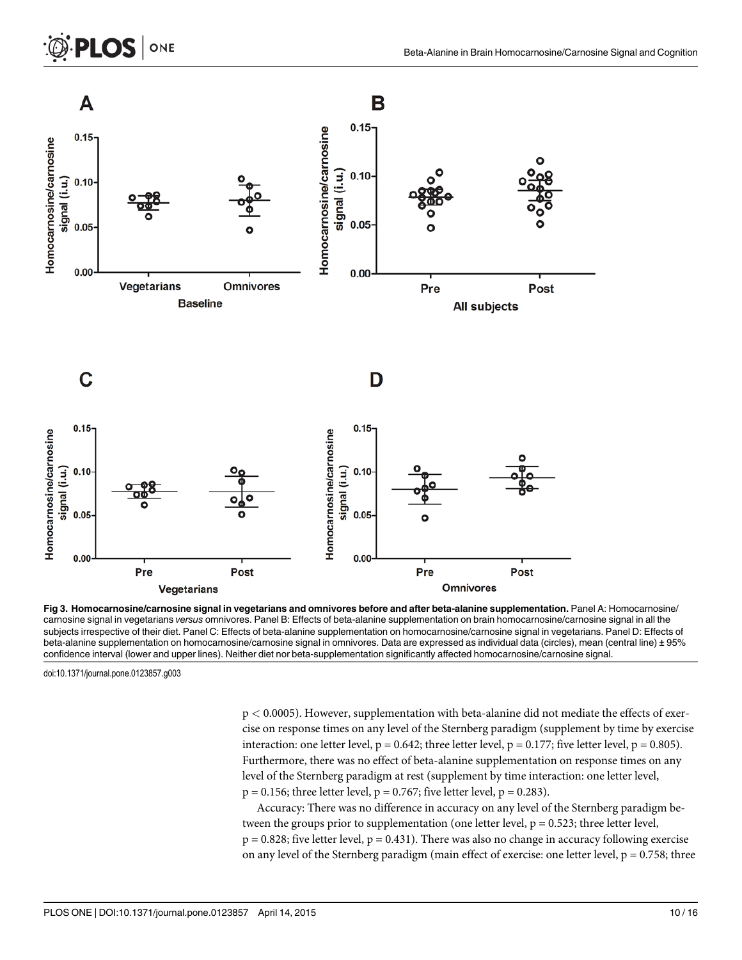<span id="page-9-0"></span>

[Fig 3. H](#page-8-0)omocarnosine/carnosine signal in vegetarians and omnivores before and after beta-alanine supplementation. Panel A: Homocarnosine/ carnosine signal in vegetarians versus omnivores. Panel B: Effects of beta-alanine supplementation on brain homocarnosine/carnosine signal in all the subjects irrespective of their diet. Panel C: Effects of beta-alanine supplementation on homocarnosine/carnosine signal in vegetarians. Panel D: Effects of beta-alanine supplementation on homocarnosine/carnosine signal in omnivores. Data are expressed as individual data (circles), mean (central line) ± 95% confidence interval (lower and upper lines). Neither diet nor beta-supplementation significantly affected homocarnosine/carnosine signal.

doi:10.1371/journal.pone.0123857.g003

p < 0.0005). However, supplementation with beta-alanine did not mediate the effects of exercise on response times on any level of the Sternberg paradigm (supplement by time by exercise interaction: one letter level,  $p = 0.642$ ; three letter level,  $p = 0.177$ ; five letter level,  $p = 0.805$ ). Furthermore, there was no effect of beta-alanine supplementation on response times on any level of the Sternberg paradigm at rest (supplement by time interaction: one letter level,  $p = 0.156$ ; three letter level,  $p = 0.767$ ; five letter level,  $p = 0.283$ ).

Accuracy: There was no difference in accuracy on any level of the Sternberg paradigm between the groups prior to supplementation (one letter level,  $p = 0.523$ ; three letter level,  $p = 0.828$ ; five letter level,  $p = 0.431$ ). There was also no change in accuracy following exercise on any level of the Sternberg paradigm (main effect of exercise: one letter level,  $p = 0.758$ ; three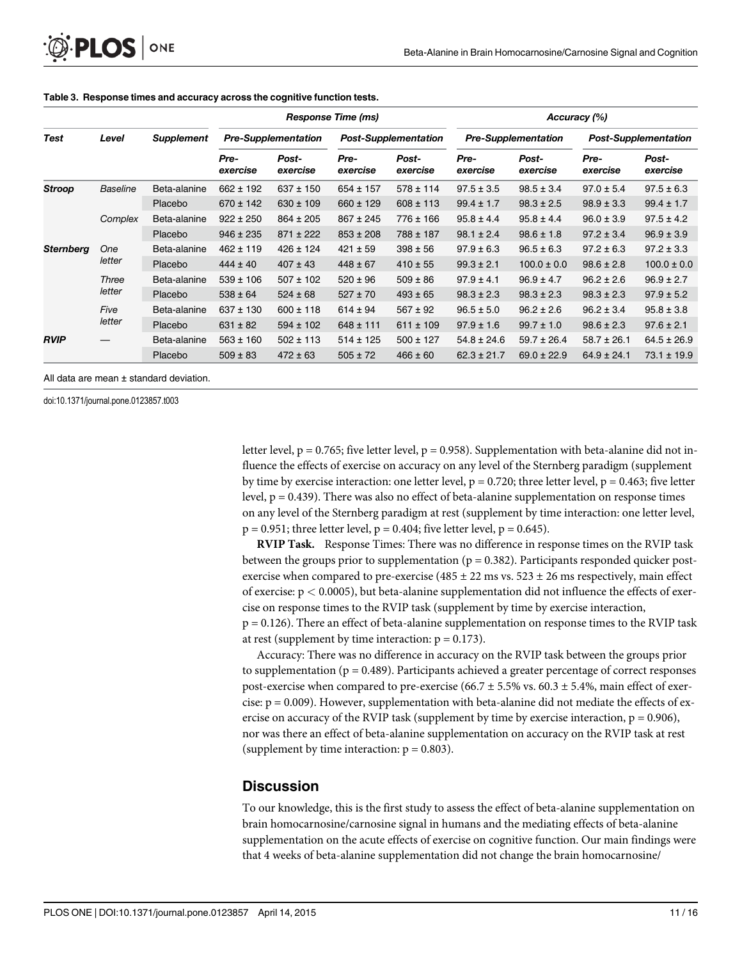|                  | Level           | <b>Supplement</b> | <b>Response Time (ms)</b>  |                   |                             | Accuracy (%)      |                            |                   |                             |                   |
|------------------|-----------------|-------------------|----------------------------|-------------------|-----------------------------|-------------------|----------------------------|-------------------|-----------------------------|-------------------|
| Test             |                 |                   | <b>Pre-Supplementation</b> |                   | <b>Post-Supplementation</b> |                   | <b>Pre-Supplementation</b> |                   | <b>Post-Supplementation</b> |                   |
|                  |                 |                   | Pre-<br>exercise           | Post-<br>exercise | Pre-<br>exercise            | Post-<br>exercise | Pre-<br>exercise           | Post-<br>exercise | Pre-<br>exercise            | Post-<br>exercise |
| <b>Stroop</b>    | <b>Baseline</b> | Beta-alanine      | $662 \pm 192$              | $637 \pm 150$     | $654 \pm 157$               | $578 \pm 114$     | $97.5 \pm 3.5$             | $98.5 \pm 3.4$    | $97.0 \pm 5.4$              | $97.5 \pm 6.3$    |
|                  |                 | Placebo           | $670 \pm 142$              | $630 \pm 109$     | $660 \pm 129$               | $608 \pm 113$     | $99.4 \pm 1.7$             | $98.3 \pm 2.5$    | $98.9 \pm 3.3$              | $99.4 \pm 1.7$    |
|                  | Complex         | Beta-alanine      | $922 \pm 250$              | $864 \pm 205$     | $867 \pm 245$               | $776 \pm 166$     | $95.8 \pm 4.4$             | $95.8 \pm 4.4$    | $96.0 \pm 3.9$              | $97.5 \pm 4.2$    |
|                  |                 | Placebo           | $946 \pm 235$              | $871 \pm 222$     | $853 \pm 208$               | 788 ± 187         | $98.1 \pm 2.4$             | $98.6 \pm 1.8$    | $97.2 \pm 3.4$              | $96.9 \pm 3.9$    |
| <b>Sternberg</b> | One<br>letter   | Beta-alanine      | $462 \pm 119$              | $426 \pm 124$     | $421 \pm 59$                | $398 \pm 56$      | $97.9 \pm 6.3$             | $96.5 \pm 6.3$    | $97.2 \pm 6.3$              | $97.2 \pm 3.3$    |
|                  |                 | Placebo           | $444 \pm 40$               | $407 \pm 43$      | $448 \pm 67$                | $410 \pm 55$      | $99.3 \pm 2.1$             | $100.0 \pm 0.0$   | $98.6 \pm 2.8$              | $100.0 \pm 0.0$   |
|                  | Three<br>letter | Beta-alanine      | $539 \pm 106$              | $507 \pm 102$     | $520 \pm 96$                | $509 \pm 86$      | $97.9 \pm 4.1$             | $96.9 \pm 4.7$    | $96.2 \pm 2.6$              | $96.9 \pm 2.7$    |
|                  |                 | Placebo           | $538 \pm 64$               | $524 \pm 68$      | $527 \pm 70$                | $493 \pm 65$      | $98.3 \pm 2.3$             | $98.3 \pm 2.3$    | $98.3 \pm 2.3$              | $97.9 \pm 5.2$    |
|                  | Five<br>letter  | Beta-alanine      | $637 \pm 130$              | $600 \pm 118$     | $614 \pm 94$                | $567 \pm 92$      | $96.5 \pm 5.0$             | $96.2 \pm 2.6$    | $96.2 \pm 3.4$              | $95.8 \pm 3.8$    |
|                  |                 | Placebo           | $631 \pm 82$               | $594 \pm 102$     | $648 \pm 111$               | $611 \pm 109$     | $97.9 \pm 1.6$             | $99.7 \pm 1.0$    | $98.6 \pm 2.3$              | $97.6 \pm 2.1$    |
| <b>RVIP</b>      |                 | Beta-alanine      | $563 \pm 160$              | $502 \pm 113$     | $514 \pm 125$               | $500 \pm 127$     | $54.8 \pm 24.6$            | $59.7 \pm 26.4$   | $58.7 \pm 26.1$             | $64.5 \pm 26.9$   |
|                  |                 | Placebo           | $509 \pm 83$               | $472 \pm 63$      | $505 \pm 72$                | $466 \pm 60$      | $62.3 \pm 21.7$            | $69.0 \pm 22.9$   | $64.9 \pm 24.1$             | $73.1 \pm 19.9$   |

#### <span id="page-10-0"></span>[Table 3.](#page-8-0) Response times and accuracy across the cognitive function tests.

All data are mean ± standard deviation.

doi:10.1371/journal.pone.0123857.t003

letter level,  $p = 0.765$ ; five letter level,  $p = 0.958$ ). Supplementation with beta-alanine did not influence the effects of exercise on accuracy on any level of the Sternberg paradigm (supplement by time by exercise interaction: one letter level,  $p = 0.720$ ; three letter level,  $p = 0.463$ ; five letter level, p = 0.439). There was also no effect of beta-alanine supplementation on response times on any level of the Sternberg paradigm at rest (supplement by time interaction: one letter level,  $p = 0.951$ ; three letter level,  $p = 0.404$ ; five letter level,  $p = 0.645$ ).

RVIP Task. Response Times: There was no difference in response times on the RVIP task between the groups prior to supplementation ( $p = 0.382$ ). Participants responded quicker postexercise when compared to pre-exercise (485  $\pm$  22 ms vs. 523  $\pm$  26 ms respectively, main effect of exercise:  $p < 0.0005$ ), but beta-alanine supplementation did not influence the effects of exercise on response times to the RVIP task (supplement by time by exercise interaction,  $p = 0.126$ ). There an effect of beta-alanine supplementation on response times to the RVIP task at rest (supplement by time interaction:  $p = 0.173$ ).

Accuracy: There was no difference in accuracy on the RVIP task between the groups prior to supplementation ( $p = 0.489$ ). Participants achieved a greater percentage of correct responses post-exercise when compared to pre-exercise (66.7  $\pm$  5.5% vs. 60.3  $\pm$  5.4%, main effect of exercise:  $p = 0.009$ ). However, supplementation with beta-alanine did not mediate the effects of exercise on accuracy of the RVIP task (supplement by time by exercise interaction,  $p = 0.906$ ), nor was there an effect of beta-alanine supplementation on accuracy on the RVIP task at rest (supplement by time interaction:  $p = 0.803$ ).

#### **Discussion**

To our knowledge, this is the first study to assess the effect of beta-alanine supplementation on brain homocarnosine/carnosine signal in humans and the mediating effects of beta-alanine supplementation on the acute effects of exercise on cognitive function. Our main findings were that 4 weeks of beta-alanine supplementation did not change the brain homocarnosine/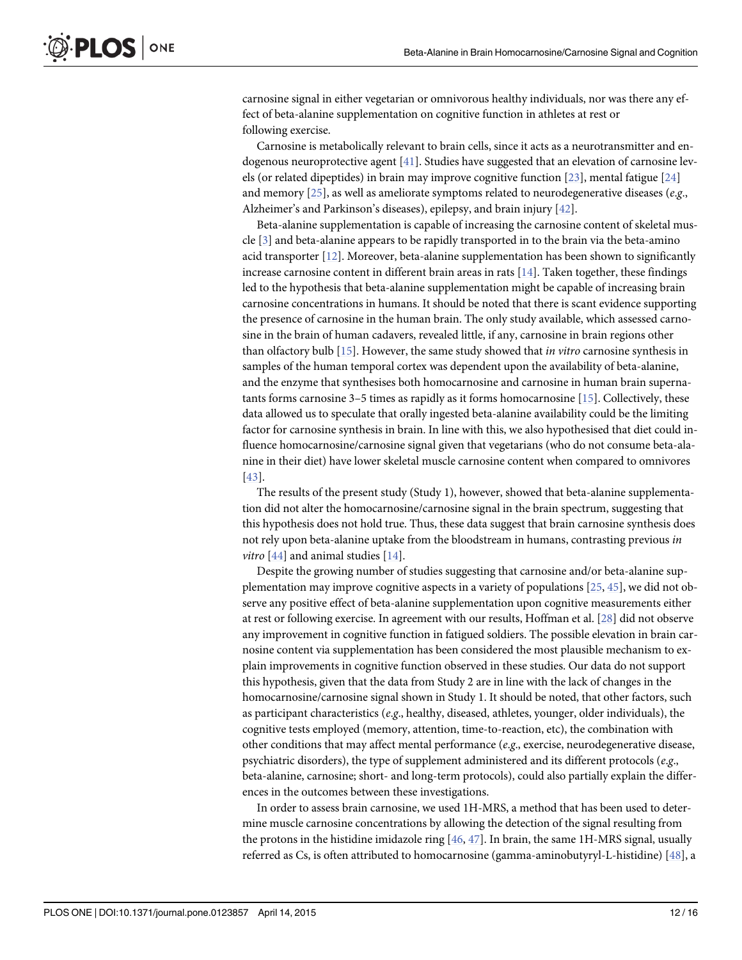<span id="page-11-0"></span>carnosine signal in either vegetarian or omnivorous healthy individuals, nor was there any effect of beta-alanine supplementation on cognitive function in athletes at rest or following exercise.

Carnosine is metabolically relevant to brain cells, since it acts as a neurotransmitter and endogenous neuroprotective agent [[41\]](#page-14-0). Studies have suggested that an elevation of carnosine levels (or related dipeptides) in brain may improve cognitive function [[23\]](#page-14-0), mental fatigue [[24](#page-14-0)] and memory  $[25]$  $[25]$  $[25]$ , as well as ameliorate symptoms related to neurodegenerative diseases (e.g., Alzheimer's and Parkinson's diseases), epilepsy, and brain injury [\[42](#page-14-0)].

Beta-alanine supplementation is capable of increasing the carnosine content of skeletal muscle  $[3]$  $[3]$  $[3]$  and beta-alanine appears to be rapidly transported in to the brain via the beta-amino acid transporter [\[12\]](#page-13-0). Moreover, beta-alanine supplementation has been shown to significantly increase carnosine content in different brain areas in rats  $[14]$ . Taken together, these findings led to the hypothesis that beta-alanine supplementation might be capable of increasing brain carnosine concentrations in humans. It should be noted that there is scant evidence supporting the presence of carnosine in the human brain. The only study available, which assessed carnosine in the brain of human cadavers, revealed little, if any, carnosine in brain regions other than olfactory bulb [\[15\]](#page-13-0). However, the same study showed that in vitro carnosine synthesis in samples of the human temporal cortex was dependent upon the availability of beta-alanine, and the enzyme that synthesises both homocarnosine and carnosine in human brain supernatants forms carnosine  $3-5$  times as rapidly as it forms homocarnosine [\[15\]](#page-13-0). Collectively, these data allowed us to speculate that orally ingested beta-alanine availability could be the limiting factor for carnosine synthesis in brain. In line with this, we also hypothesised that diet could influence homocarnosine/carnosine signal given that vegetarians (who do not consume beta-alanine in their diet) have lower skeletal muscle carnosine content when compared to omnivores [\[43](#page-14-0)].

The results of the present study (Study 1), however, showed that beta-alanine supplementation did not alter the homocarnosine/carnosine signal in the brain spectrum, suggesting that this hypothesis does not hold true. Thus, these data suggest that brain carnosine synthesis does not rely upon beta-alanine uptake from the bloodstream in humans, contrasting previous in *vitro* [\[44\]](#page-15-0) and animal studies [\[14\]](#page-13-0).

Despite the growing number of studies suggesting that carnosine and/or beta-alanine supplementation may improve cognitive aspects in a variety of populations  $[25, 45]$  $[25, 45]$  $[25, 45]$ , we did not observe any positive effect of beta-alanine supplementation upon cognitive measurements either at rest or following exercise. In agreement with our results, Hoffman et al. [\[28\]](#page-14-0) did not observe any improvement in cognitive function in fatigued soldiers. The possible elevation in brain carnosine content via supplementation has been considered the most plausible mechanism to explain improvements in cognitive function observed in these studies. Our data do not support this hypothesis, given that the data from Study 2 are in line with the lack of changes in the homocarnosine/carnosine signal shown in Study 1. It should be noted, that other factors, such as participant characteristics (e.g., healthy, diseased, athletes, younger, older individuals), the cognitive tests employed (memory, attention, time-to-reaction, etc), the combination with other conditions that may affect mental performance ( $e.g.,$  exercise, neurodegenerative disease, psychiatric disorders), the type of supplement administered and its different protocols ( $e.g.,$ beta-alanine, carnosine; short- and long-term protocols), could also partially explain the differences in the outcomes between these investigations.

In order to assess brain carnosine, we used 1H-MRS, a method that has been used to determine muscle carnosine concentrations by allowing the detection of the signal resulting from the protons in the histidine imidazole ring  $[46, 47]$  $[46, 47]$  $[46, 47]$  $[46, 47]$  $[46, 47]$ . In brain, the same 1H-MRS signal, usually referred as Cs, is often attributed to homocarnosine (gamma-aminobutyryl-L-histidine) [[48](#page-15-0)], a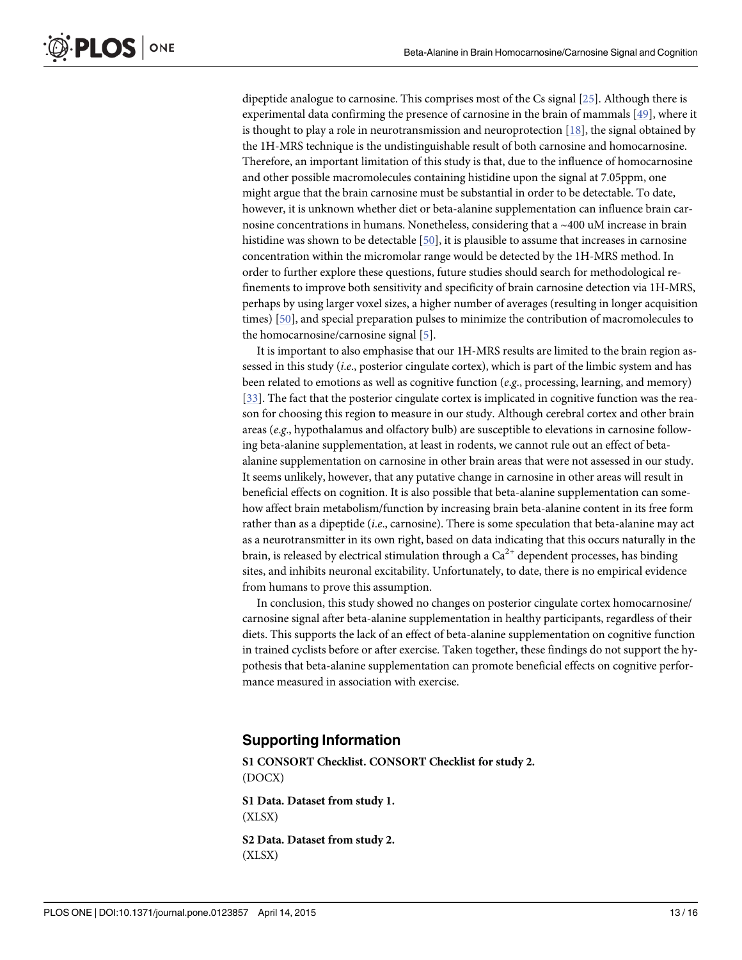<span id="page-12-0"></span>dipeptide analogue to carnosine. This comprises most of the Cs signal [\[25\]](#page-14-0). Although there is experimental data confirming the presence of carnosine in the brain of mammals [[49](#page-15-0)], where it is thought to play a role in neurotransmission and neuroprotection  $[18]$ , the signal obtained by the 1H-MRS technique is the undistinguishable result of both carnosine and homocarnosine. Therefore, an important limitation of this study is that, due to the influence of homocarnosine and other possible macromolecules containing histidine upon the signal at 7.05ppm, one might argue that the brain carnosine must be substantial in order to be detectable. To date, however, it is unknown whether diet or beta-alanine supplementation can influence brain carnosine concentrations in humans. Nonetheless, considering that a ~400 uM increase in brain histidine was shown to be detectable [\[50\]](#page-15-0), it is plausible to assume that increases in carnosine concentration within the micromolar range would be detected by the 1H-MRS method. In order to further explore these questions, future studies should search for methodological refinements to improve both sensitivity and specificity of brain carnosine detection via 1H-MRS, perhaps by using larger voxel sizes, a higher number of averages (resulting in longer acquisition times) [[50](#page-15-0)], and special preparation pulses to minimize the contribution of macromolecules to the homocarnosine/carnosine signal [\[5](#page-13-0)].

It is important to also emphasise that our 1H-MRS results are limited to the brain region assessed in this study (i.e., posterior cingulate cortex), which is part of the limbic system and has been related to emotions as well as cognitive function (e.g., processing, learning, and memory) [\[33](#page-14-0)]. The fact that the posterior cingulate cortex is implicated in cognitive function was the reason for choosing this region to measure in our study. Although cerebral cortex and other brain areas (e.g., hypothalamus and olfactory bulb) are susceptible to elevations in carnosine following beta-alanine supplementation, at least in rodents, we cannot rule out an effect of betaalanine supplementation on carnosine in other brain areas that were not assessed in our study. It seems unlikely, however, that any putative change in carnosine in other areas will result in beneficial effects on cognition. It is also possible that beta-alanine supplementation can somehow affect brain metabolism/function by increasing brain beta-alanine content in its free form rather than as a dipeptide (*i.e.*, carnosine). There is some speculation that beta-alanine may act as a neurotransmitter in its own right, based on data indicating that this occurs naturally in the brain, is released by electrical stimulation through a  $Ca^{2+}$  dependent processes, has binding sites, and inhibits neuronal excitability. Unfortunately, to date, there is no empirical evidence from humans to prove this assumption.

In conclusion, this study showed no changes on posterior cingulate cortex homocarnosine/ carnosine signal after beta-alanine supplementation in healthy participants, regardless of their diets. This supports the lack of an effect of beta-alanine supplementation on cognitive function in trained cyclists before or after exercise. Taken together, these findings do not support the hypothesis that beta-alanine supplementation can promote beneficial effects on cognitive performance measured in association with exercise.

#### Supporting Information

[S1 CONSORT Checklist.](http://www.plosone.org/article/fetchSingleRepresentation.action?uri=info:doi/10.1371/journal.pone.0123857.s001) CONSORT Checklist for study 2. (DOCX)

[S1 Data](http://www.plosone.org/article/fetchSingleRepresentation.action?uri=info:doi/10.1371/journal.pone.0123857.s002). Dataset from study 1. (XLSX)

[S2 Data](http://www.plosone.org/article/fetchSingleRepresentation.action?uri=info:doi/10.1371/journal.pone.0123857.s003). Dataset from study 2. (XLSX)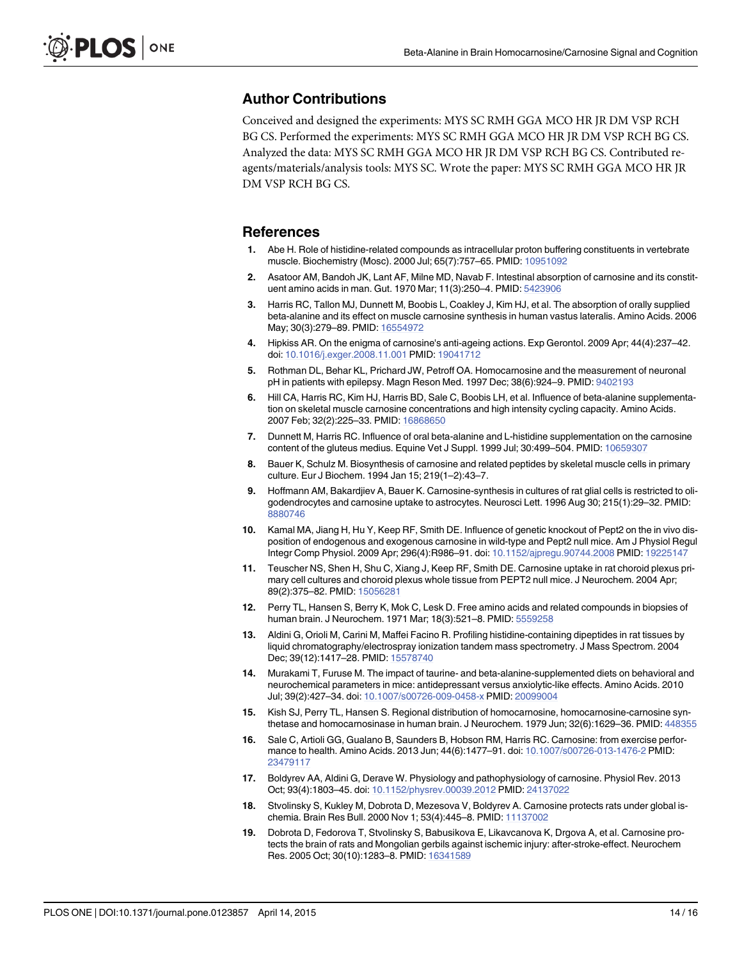#### <span id="page-13-0"></span>Author Contributions

Conceived and designed the experiments: MYS SC RMH GGA MCO HR JR DM VSP RCH BG CS. Performed the experiments: MYS SC RMH GGA MCO HR JR DM VSP RCH BG CS. Analyzed the data: MYS SC RMH GGA MCO HR JR DM VSP RCH BG CS. Contributed reagents/materials/analysis tools: MYS SC. Wrote the paper: MYS SC RMH GGA MCO HR JR DM VSP RCH BG CS.

#### References

- [1.](#page-1-0) Abe H. Role of histidine-related compounds as intracellular proton buffering constituents in vertebrate muscle. Biochemistry (Mosc). 2000 Jul; 65(7):757–65. PMID: [10951092](http://www.ncbi.nlm.nih.gov/pubmed/10951092)
- [2.](#page-1-0) Asatoor AM, Bandoh JK, Lant AF, Milne MD, Navab F. Intestinal absorption of carnosine and its constituent amino acids in man. Gut. 1970 Mar; 11(3):250–4. PMID: [5423906](http://www.ncbi.nlm.nih.gov/pubmed/5423906)
- [3.](#page-1-0) Harris RC, Tallon MJ, Dunnett M, Boobis L, Coakley J, Kim HJ, et al. The absorption of orally supplied beta-alanine and its effect on muscle carnosine synthesis in human vastus lateralis. Amino Acids. 2006 May; 30(3):279-89. PMID: [16554972](http://www.ncbi.nlm.nih.gov/pubmed/16554972)
- [4.](#page-1-0) Hipkiss AR. On the enigma of carnosine's anti-ageing actions. Exp Gerontol. 2009 Apr; 44(4):237–42. doi: [10.1016/j.exger.2008.11.001](http://dx.doi.org/10.1016/j.exger.2008.11.001) PMID: [19041712](http://www.ncbi.nlm.nih.gov/pubmed/19041712)
- [5.](#page-1-0) Rothman DL, Behar KL, Prichard JW, Petroff OA. Homocarnosine and the measurement of neuronal pH in patients with epilepsy. Magn Reson Med. 1997 Dec; 38(6):924-9. PMID: [9402193](http://www.ncbi.nlm.nih.gov/pubmed/9402193)
- [6.](#page-1-0) Hill CA, Harris RC, Kim HJ, Harris BD, Sale C, Boobis LH, et al. Influence of beta-alanine supplementation on skeletal muscle carnosine concentrations and high intensity cycling capacity. Amino Acids. 2007 Feb; 32(2):225–33. PMID: [16868650](http://www.ncbi.nlm.nih.gov/pubmed/16868650)
- [7.](#page-1-0) Dunnett M, Harris RC. Influence of oral beta-alanine and L-histidine supplementation on the carnosine content of the gluteus medius. Equine Vet J Suppl. 1999 Jul; 30:499–504. PMID: [10659307](http://www.ncbi.nlm.nih.gov/pubmed/10659307)
- [8.](#page-1-0) Bauer K, Schulz M. Biosynthesis of carnosine and related peptides by skeletal muscle cells in primary culture. Eur J Biochem. 1994 Jan 15; 219(1–2):43–7.
- [9.](#page-1-0) Hoffmann AM, Bakardjiev A, Bauer K. Carnosine-synthesis in cultures of rat glial cells is restricted to oligodendrocytes and carnosine uptake to astrocytes. Neurosci Lett. 1996 Aug 30; 215(1):29–32. PMID: [8880746](http://www.ncbi.nlm.nih.gov/pubmed/8880746)
- [10.](#page-1-0) Kamal MA, Jiang H, Hu Y, Keep RF, Smith DE. Influence of genetic knockout of Pept2 on the in vivo disposition of endogenous and exogenous carnosine in wild-type and Pept2 null mice. Am J Physiol Regul Integr Comp Physiol. 2009 Apr; 296(4):R986–91. doi: [10.1152/ajpregu.90744.2008](http://dx.doi.org/10.1152/ajpregu.90744.2008) PMID: [19225147](http://www.ncbi.nlm.nih.gov/pubmed/19225147)
- [11.](#page-1-0) Teuscher NS, Shen H, Shu C, Xiang J, Keep RF, Smith DE. Carnosine uptake in rat choroid plexus primary cell cultures and choroid plexus whole tissue from PEPT2 null mice. J Neurochem. 2004 Apr; 89(2):375–82. PMID: [15056281](http://www.ncbi.nlm.nih.gov/pubmed/15056281)
- [12.](#page-1-0) Perry TL, Hansen S, Berry K, Mok C, Lesk D. Free amino acids and related compounds in biopsies of human brain. J Neurochem. 1971 Mar; 18(3):521–8. PMID: [5559258](http://www.ncbi.nlm.nih.gov/pubmed/5559258)
- [13.](#page-1-0) Aldini G, Orioli M, Carini M, Maffei Facino R. Profiling histidine-containing dipeptides in rat tissues by liquid chromatography/electrospray ionization tandem mass spectrometry. J Mass Spectrom. 2004 Dec; 39(12):1417-28. PMID: [15578740](http://www.ncbi.nlm.nih.gov/pubmed/15578740)
- [14.](#page-1-0) Murakami T, Furuse M. The impact of taurine- and beta-alanine-supplemented diets on behavioral and neurochemical parameters in mice: antidepressant versus anxiolytic-like effects. Amino Acids. 2010 Jul; 39(2):427–34. doi: [10.1007/s00726-009-0458-x](http://dx.doi.org/10.1007/s00726-009-0458-x) PMID: [20099004](http://www.ncbi.nlm.nih.gov/pubmed/20099004)
- [15.](#page-1-0) Kish SJ, Perry TL, Hansen S. Regional distribution of homocarnosine, homocarnosine-carnosine synthetase and homocarnosinase in human brain. J Neurochem. 1979 Jun; 32(6):1629–36. PMID: [448355](http://www.ncbi.nlm.nih.gov/pubmed/448355)
- [16.](#page-2-0) Sale C, Artioli GG, Gualano B, Saunders B, Hobson RM, Harris RC. Carnosine: from exercise perfor-mance to health. Amino Acids. 2013 Jun; 44(6):1477-91. doi: [10.1007/s00726-013-1476-2](http://dx.doi.org/10.1007/s00726-013-1476-2) PMID: [23479117](http://www.ncbi.nlm.nih.gov/pubmed/23479117)
- [17.](#page-2-0) Boldyrev AA, Aldini G, Derave W. Physiology and pathophysiology of carnosine. Physiol Rev. 2013 Oct; 93(4):1803–45. doi: [10.1152/physrev.00039.2012](http://dx.doi.org/10.1152/physrev.00039.2012) PMID: [24137022](http://www.ncbi.nlm.nih.gov/pubmed/24137022)
- [18.](#page-2-0) Stvolinsky S, Kukley M, Dobrota D, Mezesova V, Boldyrev A. Carnosine protects rats under global is-chemia. Brain Res Bull. 2000 Nov 1; 53(4):445-8. PMID: [11137002](http://www.ncbi.nlm.nih.gov/pubmed/11137002)
- [19.](#page-2-0) Dobrota D, Fedorova T, Stvolinsky S, Babusikova E, Likavcanova K, Drgova A, et al. Carnosine protects the brain of rats and Mongolian gerbils against ischemic injury: after-stroke-effect. Neurochem Res. 2005 Oct; 30(10):1283–8. PMID: [16341589](http://www.ncbi.nlm.nih.gov/pubmed/16341589)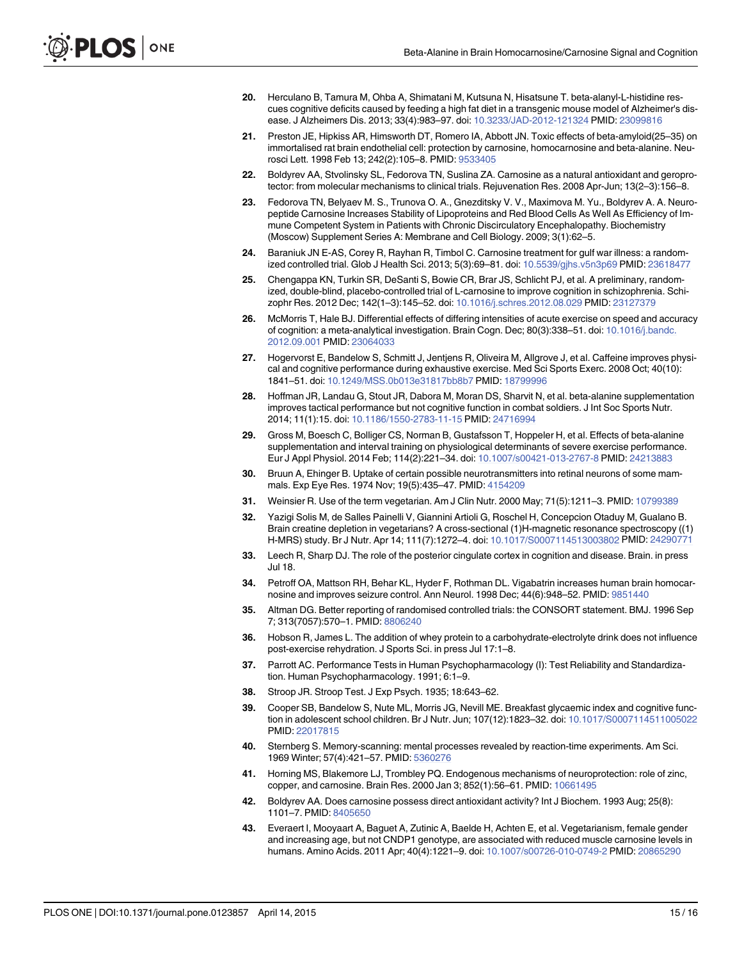- <span id="page-14-0"></span>[20.](#page-2-0) Herculano B, Tamura M, Ohba A, Shimatani M, Kutsuna N, Hisatsune T. beta-alanyl-L-histidine rescues cognitive deficits caused by feeding a high fat diet in a transgenic mouse model of Alzheimer's disease. J Alzheimers Dis. 2013; 33(4):983–97. doi: [10.3233/JAD-2012-121324](http://dx.doi.org/10.3233/JAD-2012-121324) PMID: [23099816](http://www.ncbi.nlm.nih.gov/pubmed/23099816)
- [21.](#page-2-0) Preston JE, Hipkiss AR, Himsworth DT, Romero IA, Abbott JN. Toxic effects of beta-amyloid(25–35) on immortalised rat brain endothelial cell: protection by carnosine, homocarnosine and beta-alanine. Neurosci Lett. 1998 Feb 13; 242(2):105–8. PMID: [9533405](http://www.ncbi.nlm.nih.gov/pubmed/9533405)
- [22.](#page-2-0) Boldyrev AA, Stvolinsky SL, Fedorova TN, Suslina ZA. Carnosine as a natural antioxidant and geroprotector: from molecular mechanisms to clinical trials. Rejuvenation Res. 2008 Apr-Jun; 13(2–3):156–8.
- [23.](#page-2-0) Fedorova TN, Belyaev M. S., Trunova O. A., Gnezditsky V. V., Maximova M. Yu., Boldyrev A. A. Neuropeptide Carnosine Increases Stability of Lipoproteins and Red Blood Cells As Well As Efficiency of Immune Competent System in Patients with Chronic Discirculatory Encephalopathy. Biochemistry (Moscow) Supplement Series A: Membrane and Cell Biology. 2009; 3(1):62–5.
- [24.](#page-2-0) Baraniuk JN E-AS, Corey R, Rayhan R, Timbol C. Carnosine treatment for gulf war illness: a randomized controlled trial. Glob J Health Sci. 2013; 5(3):69–81. doi: [10.5539/gjhs.v5n3p69](http://dx.doi.org/10.5539/gjhs.v5n3p69) PMID: [23618477](http://www.ncbi.nlm.nih.gov/pubmed/23618477)
- [25.](#page-2-0) Chengappa KN, Turkin SR, DeSanti S, Bowie CR, Brar JS, Schlicht PJ, et al. A preliminary, randomized, double-blind, placebo-controlled trial of L-carnosine to improve cognition in schizophrenia. Schizophr Res. 2012 Dec; 142(1–3):145–52. doi: [10.1016/j.schres.2012.08.029](http://dx.doi.org/10.1016/j.schres.2012.08.029) PMID: [23127379](http://www.ncbi.nlm.nih.gov/pubmed/23127379)
- [26.](#page-2-0) McMorris T, Hale BJ. Differential effects of differing intensities of acute exercise on speed and accuracy of cognition: a meta-analytical investigation. Brain Cogn. Dec; 80(3):338–51. doi: [10.1016/j.bandc.](http://dx.doi.org/10.1016/j.bandc.2012.09.001) [2012.09.001](http://dx.doi.org/10.1016/j.bandc.2012.09.001) PMID: [23064033](http://www.ncbi.nlm.nih.gov/pubmed/23064033)
- [27.](#page-2-0) Hogervorst E, Bandelow S, Schmitt J, Jentjens R, Oliveira M, Allgrove J, et al. Caffeine improves physical and cognitive performance during exhaustive exercise. Med Sci Sports Exerc. 2008 Oct; 40(10): 1841–51. doi: [10.1249/MSS.0b013e31817bb8b7](http://dx.doi.org/10.1249/MSS.0b013e31817bb8b7) PMID: [18799996](http://www.ncbi.nlm.nih.gov/pubmed/18799996)
- [28.](#page-2-0) Hoffman JR, Landau G, Stout JR, Dabora M, Moran DS, Sharvit N, et al. beta-alanine supplementation improves tactical performance but not cognitive function in combat soldiers. J Int Soc Sports Nutr. 2014; 11(1):15. doi: [10.1186/1550-2783-11-15](http://dx.doi.org/10.1186/1550-2783-11-15) PMID: [24716994](http://www.ncbi.nlm.nih.gov/pubmed/24716994)
- [29.](#page-2-0) Gross M, Boesch C, Bolliger CS, Norman B, Gustafsson T, Hoppeler H, et al. Effects of beta-alanine supplementation and interval training on physiological determinants of severe exercise performance. Eur J Appl Physiol. 2014 Feb; 114(2):221–34. doi: [10.1007/s00421-013-2767-8](http://dx.doi.org/10.1007/s00421-013-2767-8) PMID: [24213883](http://www.ncbi.nlm.nih.gov/pubmed/24213883)
- [30.](#page-2-0) Bruun A, Ehinger B. Uptake of certain possible neurotransmitters into retinal neurons of some mam-mals. Exp Eye Res. 1974 Nov; 19(5):435-47. PMID: [4154209](http://www.ncbi.nlm.nih.gov/pubmed/4154209)
- [31.](#page-4-0) Weinsier R. Use of the term vegetarian. Am J Clin Nutr. 2000 May; 71(5):1211-3. PMID: [10799389](http://www.ncbi.nlm.nih.gov/pubmed/10799389)
- [32.](#page-4-0) Yazigi Solis M, de Salles Painelli V, Giannini Artioli G, Roschel H, Concepcion Otaduy M, Gualano B. Brain creatine depletion in vegetarians? A cross-sectional (1)H-magnetic resonance spectroscopy ((1) H-MRS) study. Br J Nutr. Apr 14; 111(7):1272–4. doi: [10.1017/S0007114513003802](http://dx.doi.org/10.1017/S0007114513003802) PMID: [24290771](http://www.ncbi.nlm.nih.gov/pubmed/24290771)
- [33.](#page-4-0) Leech R, Sharp DJ. The role of the posterior cingulate cortex in cognition and disease. Brain. in press Jul 18.
- [34.](#page-4-0) Petroff OA, Mattson RH, Behar KL, Hyder F, Rothman DL. Vigabatrin increases human brain homocarnosine and improves seizure control. Ann Neurol. 1998 Dec; 44(6):948–52. PMID: [9851440](http://www.ncbi.nlm.nih.gov/pubmed/9851440)
- [35.](#page-4-0) Altman DG. Better reporting of randomised controlled trials: the CONSORT statement. BMJ. 1996 Sep 7; 313(7057):570–1. PMID: [8806240](http://www.ncbi.nlm.nih.gov/pubmed/8806240)
- [36.](#page-7-0) Hobson R, James L. The addition of whey protein to a carbohydrate-electrolyte drink does not influence post-exercise rehydration. J Sports Sci. in press Jul 17:1–8.
- [37.](#page-7-0) Parrott AC. Performance Tests in Human Psychopharmacology (I): Test Reliability and Standardization. Human Psychopharmacology. 1991; 6:1–9.
- [38.](#page-7-0) Stroop JR. Stroop Test. J Exp Psych. 1935; 18:643–62.
- [39.](#page-7-0) Cooper SB, Bandelow S, Nute ML, Morris JG, Nevill ME. Breakfast glycaemic index and cognitive function in adolescent school children. Br J Nutr. Jun; 107(12):1823–32. doi: [10.1017/S0007114511005022](http://dx.doi.org/10.1017/S0007114511005022) PMID: [22017815](http://www.ncbi.nlm.nih.gov/pubmed/22017815)
- [40.](#page-7-0) Sternberg S. Memory-scanning: mental processes revealed by reaction-time experiments. Am Sci. 1969 Winter; 57(4):421–57. PMID: [5360276](http://www.ncbi.nlm.nih.gov/pubmed/5360276)
- [41.](#page-11-0) Horning MS, Blakemore LJ, Trombley PQ. Endogenous mechanisms of neuroprotection: role of zinc, copper, and carnosine. Brain Res. 2000 Jan 3; 852(1):56–61. PMID: [10661495](http://www.ncbi.nlm.nih.gov/pubmed/10661495)
- [42.](#page-11-0) Boldyrev AA. Does carnosine possess direct antioxidant activity? Int J Biochem. 1993 Aug; 25(8): 1101–7. PMID: [8405650](http://www.ncbi.nlm.nih.gov/pubmed/8405650)
- [43.](#page-11-0) Everaert I, Mooyaart A, Baguet A, Zutinic A, Baelde H, Achten E, et al. Vegetarianism, female gender and increasing age, but not CNDP1 genotype, are associated with reduced muscle carnosine levels in humans. Amino Acids. 2011 Apr; 40(4):1221–9. doi: [10.1007/s00726-010-0749-2](http://dx.doi.org/10.1007/s00726-010-0749-2) PMID: [20865290](http://www.ncbi.nlm.nih.gov/pubmed/20865290)